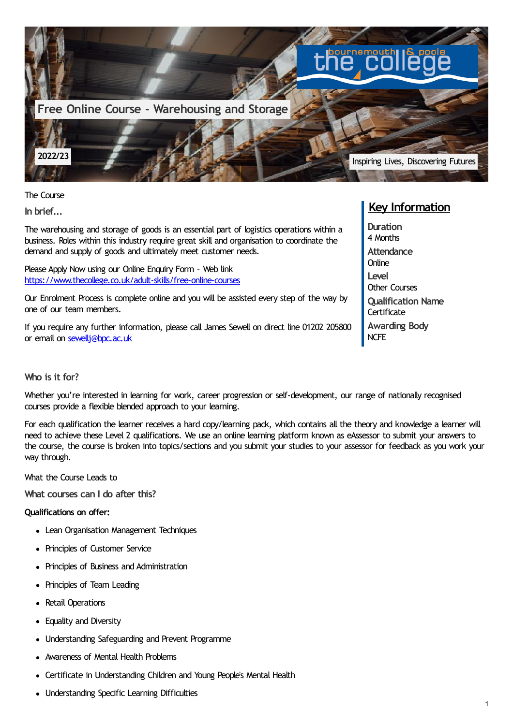

The Course

**In brief...**

The warehousing and storage of goods is an essential part of logistics operations within a business. Roles within this industry require great skill and organisation to coordinate the demand and supply of goods and ultimately meet customer needs.

Please Apply Now using our Online Enquiry Form – Web link <https://www.thecollege.co.uk/adult-skills/free-online-courses>

Our Enrolment Process is complete online and you will be assisted every step of the way by one of our team members.

If you require any further information, please call James Sewell on direct line 01202 205800 or email on sewelli@bpc.ac.uk

## **Who is it for?**

Whether you're interested in learning for work, career progression or self-development, our range of nationally recognised courses provide a flexible blended approach to your learning.

For each qualification the learner receives a hard copy/learning pack, which contains all the theory and knowledge a learner will need to achieve these Level 2 qualifications. We use an online learning platform known as eAssessor to submit your answers to the course, the course is broken into topics/sections and you submit your studies to your assessor for feedback as you work your way through.

What the Course Leads to

**What courses can I do after this?**

## **Qualifications on offer:**

- Lean Organisation Management Techniques
- Principles of Customer Service
- Principles of Business and Administration
- Principles of Team Leading
- Retail Operations
- Equality and Diversity
- Understanding Safeguarding and Prevent Programme
- Awareness of Mental Health Problems
- Certificate in Understanding Children and Young People's Mental Health
- Understanding Specific Learning Difficulties

# **Key Information**

**Duration** 4 Months **Attendance Online Level** Other Courses **Qualification Name Certificate Awarding Body** NCFE